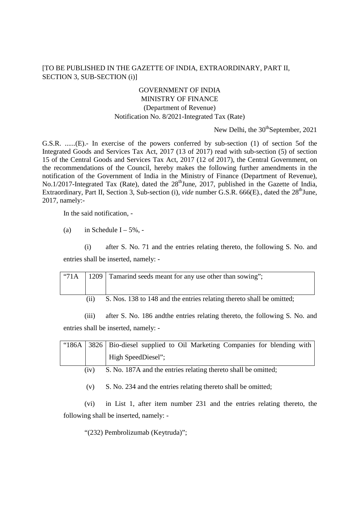## [TO BE PUBLISHED IN THE GAZETTE OF INDIA, EXTRAORDINARY, PART II, SECTION 3, SUB-SECTION (i)]

## GOVERNMENT OF INDIA MINISTRY OF FINANCE (Department of Revenue) Notification No. 8/2021-Integrated Tax (Rate)

New Delhi, the  $30<sup>th</sup>$ September, 2021

G.S.R. ......(E).- In exercise of the powers conferred by sub-section (1) of section 5of the Integrated Goods and Services Tax Act, 2017 (13 of 2017) read with sub-section (5) of section 15 of the Central Goods and Services Tax Act, 2017 (12 of 2017), the Central Government, on the recommendations of the Council, hereby makes the following further amendments in the notification of the Government of India in the Ministry of Finance (Department of Revenue), No.1/2017-Integrated Tax (Rate), dated the  $28<sup>th</sup>$  June, 2017, published in the Gazette of India, Extraordinary, Part II, Section 3, Sub-section (i), *vide* number G.S.R. 666(E)., dated the 28<sup>th</sup>June. 2017, namely:-

In the said notification, -

(a) in Schedule  $I - 5\%$ , -

(i) after S. No. 71 and the entries relating thereto, the following S. No. and entries shall be inserted, namely: -

| "71A |     | 1209   Tamarind seeds meant for any use other than sowing";           |
|------|-----|-----------------------------------------------------------------------|
|      | (i) | S. Nos. 138 to 148 and the entries relating thereto shall be omitted; |

(iii) after S. No. 186 andthe entries relating thereto, the following S. No. and entries shall be inserted, namely: -

|      | "186A 3826 Bio-diesel supplied to Oil Marketing Companies for blending with |
|------|-----------------------------------------------------------------------------|
|      | High SpeedDiesel";                                                          |
| (iv) | S. No. 187A and the entries relating thereto shall be omitted;              |

(v) S. No. 234 and the entries relating thereto shall be omitted;

(vi) in List 1, after item number 231 and the entries relating thereto, the following shall be inserted, namely: -

"(232) Pembrolizumab (Keytruda)";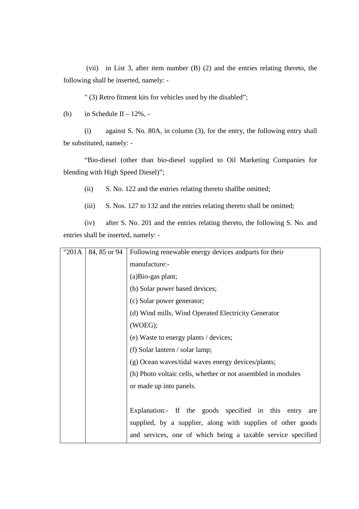(vii) in List 3, after item number (B) (2) and the entries relating thereto, the following shall be inserted, namely: -

" (3) Retro fitment kits for vehicles used by the disabled";

(b) in Schedule II –  $12\%$ , -

(i) against S. No. 80A, in column (3), for the entry, the following entry shall be substituted, namely: -

"Bio-diesel (other than bio-diesel supplied to Oil Marketing Companies for blending with High Speed Diesel)";

(ii) S. No. 122 and the entries relating thereto shallbe omitted;

(iii) S. Nos. 127 to 132 and the entries relating thereto shall be omitted;

(iv) after S. No. 201 and the entries relating thereto, the following S. No. and entries shall be inserted, namely: -

| "201A | 84, 85 or 94 | Following renewable energy devices and parts for their       |
|-------|--------------|--------------------------------------------------------------|
|       |              | manufacture:-                                                |
|       |              | (a)Bio-gas plant;                                            |
|       |              | (b) Solar power based devices;                               |
|       |              | (c) Solar power generator;                                   |
|       |              | (d) Wind mills, Wind Operated Electricity Generator          |
|       |              | (WOEG);                                                      |
|       |              | (e) Waste to energy plants / devices;                        |
|       |              | (f) Solar lantern / solar lamp;                              |
|       |              | (g) Ocean waves/tidal waves energy devices/plants;           |
|       |              | (h) Photo voltaic cells, whether or not assembled in modules |
|       |              | or made up into panels.                                      |
|       |              |                                                              |
|       |              | Explanation:- If the goods specified in this entry<br>are    |
|       |              | supplied, by a supplier, along with supplies of other goods  |
|       |              | and services, one of which being a taxable service specified |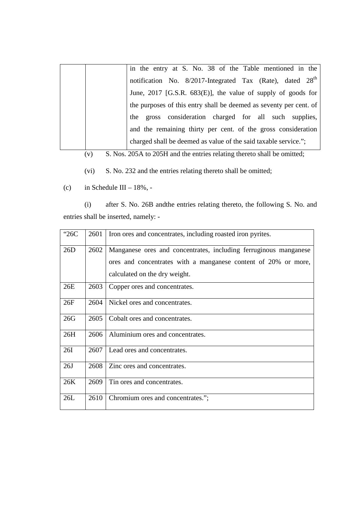|  | in the entry at S. No. 38 of the Table mentioned in the               |
|--|-----------------------------------------------------------------------|
|  | notification No. 8/2017-Integrated Tax (Rate), dated 28 <sup>th</sup> |
|  | June, 2017 [G.S.R. 683(E)], the value of supply of goods for          |
|  | the purposes of this entry shall be deemed as seventy per cent. of    |
|  | gross consideration charged for all such supplies,<br>the             |
|  | and the remaining thirty per cent. of the gross consideration         |
|  | charged shall be deemed as value of the said taxable service.";       |

(v) S. Nos. 205A to 205H and the entries relating thereto shall be omitted;

(vi) S. No. 232 and the entries relating thereto shall be omitted;

(c) in Schedule III –  $18\%$ , -

(i) after S. No. 26B andthe entries relating thereto, the following S. No. and entries shall be inserted, namely: -

| "26C       | 2601 | Iron ores and concentrates, including roasted iron pyrites.                                                                                                         |
|------------|------|---------------------------------------------------------------------------------------------------------------------------------------------------------------------|
| 26D        | 2602 | Manganese ores and concentrates, including ferruginous manganese<br>ores and concentrates with a manganese content of 20% or more,<br>calculated on the dry weight. |
| 26E        | 2603 | Copper ores and concentrates.                                                                                                                                       |
| 26F        | 2604 | Nickel ores and concentrates.                                                                                                                                       |
| 26G        | 2605 | Cobalt ores and concentrates.                                                                                                                                       |
| 26H        | 2606 | Aluminium ores and concentrates.                                                                                                                                    |
| <b>26I</b> | 2607 | Lead ores and concentrates.                                                                                                                                         |
| 26J        | 2608 | Zinc ores and concentrates.                                                                                                                                         |
| 26K        | 2609 | Tin ores and concentrates.                                                                                                                                          |
| 26L        | 2610 | Chromium ores and concentrates.";                                                                                                                                   |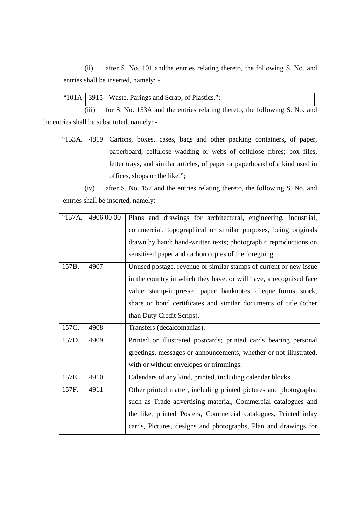(ii) after S. No. 101 andthe entries relating thereto, the following S. No. and entries shall be inserted, namely: -

|       | "101A   3915   Waste, Parings and Scrap, of Plastics.";                    |
|-------|----------------------------------------------------------------------------|
| (iii) | for S. No. 153A and the entries relating thereto, the following S. No. and |

the entries shall be substituted, namely: -

| " $153A.$ | 4819 Cartons, boxes, cases, bags and other packing containers, of paper,     |
|-----------|------------------------------------------------------------------------------|
|           | paperboard, cellulose wadding or webs of cellulose fibres; box files,        |
|           | letter trays, and similar articles, of paper or paperboard of a kind used in |
|           | offices, shops or the like.";                                                |

 (iv) after S. No. 157 and the entries relating thereto, the following S. No. and entries shall be inserted, namely: -

| "157A. | 4906 00 00 | Plans and drawings for architectural, engineering, industrial,     |
|--------|------------|--------------------------------------------------------------------|
|        |            | commercial, topographical or similar purposes, being originals     |
|        |            | drawn by hand; hand-written texts; photographic reproductions on   |
|        |            | sensitised paper and carbon copies of the foregoing.               |
| 157B.  | 4907       | Unused postage, revenue or similar stamps of current or new issue  |
|        |            | in the country in which they have, or will have, a recognised face |
|        |            | value; stamp-impressed paper; banknotes; cheque forms; stock,      |
|        |            | share or bond certificates and similar documents of title (other   |
|        |            | than Duty Credit Scrips).                                          |
| 157C.  | 4908       | Transfers (decalcomanias).                                         |
|        |            |                                                                    |
| 157D.  | 4909       | Printed or illustrated postcards; printed cards bearing personal   |
|        |            | greetings, messages or announcements, whether or not illustrated,  |
|        |            | with or without envelopes or trimmings.                            |
| 157E.  | 4910       | Calendars of any kind, printed, including calendar blocks.         |
| 157F.  | 4911       | Other printed matter, including printed pictures and photographs;  |
|        |            | such as Trade advertising material, Commercial catalogues and      |
|        |            | the like, printed Posters, Commercial catalogues, Printed inlay    |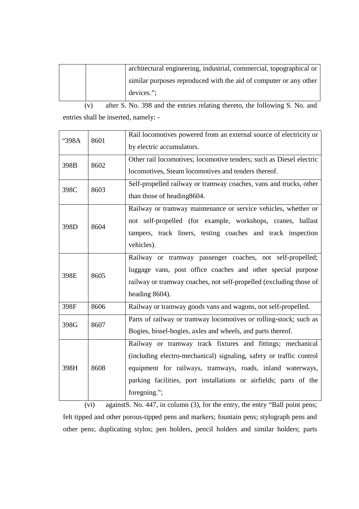|  | architectural engineering, industrial, commercial, topographical or |
|--|---------------------------------------------------------------------|
|  | similar purposes reproduced with the aid of computer or any other   |
|  | devices.";                                                          |

 (v) after S. No. 398 and the entries relating thereto, the following S. No. and entries shall be inserted, namely: -

|      | Rail locomotives powered from an external source of electricity or  |
|------|---------------------------------------------------------------------|
|      | by electric accumulators.                                           |
|      | Other rail locomotives; locomotive tenders; such as Diesel electric |
|      | locomotives, Steam locomotives and tenders thereof.                 |
| 8603 | Self-propelled railway or tramway coaches, vans and trucks, other   |
|      | than those of heading 8604.                                         |
|      | Railway or tramway maintenance or service vehicles, whether or      |
|      | not self-propelled (for example, workshops, cranes, ballast         |
|      | tampers, track liners, testing coaches and track inspection         |
|      | vehicles).                                                          |
|      | Railway or tramway passenger coaches, not self-propelled;           |
|      | luggage vans, post office coaches and other special purpose         |
|      | railway or tramway coaches, not self-propelled (excluding those of  |
|      | heading 8604).                                                      |
| 8606 | Railway or tramway goods vans and wagons, not self-propelled.       |
|      | Parts of railway or tramway locomotives or rolling-stock; such as   |
|      | Bogies, bissel-bogies, axles and wheels, and parts thereof.         |
|      | Railway or tramway track fixtures and fittings; mechanical          |
|      | (including electro-mechanical) signaling, safety or traffic control |
| 8608 | equipment for railways, tramways, roads, inland waterways,          |
|      | parking facilities, port installations or airfields; parts of the   |
|      | foregoing.";                                                        |
|      | 8601<br>8602<br>8604<br>8605<br>8607                                |

 (vi) againstS. No. 447, in column (3), for the entry, the entry "Ball point pens; felt tipped and other porous-tipped pens and markers; fountain pens; stylograph pens and other pens; duplicating stylos; pen holders, pencil holders and similar holders; parts